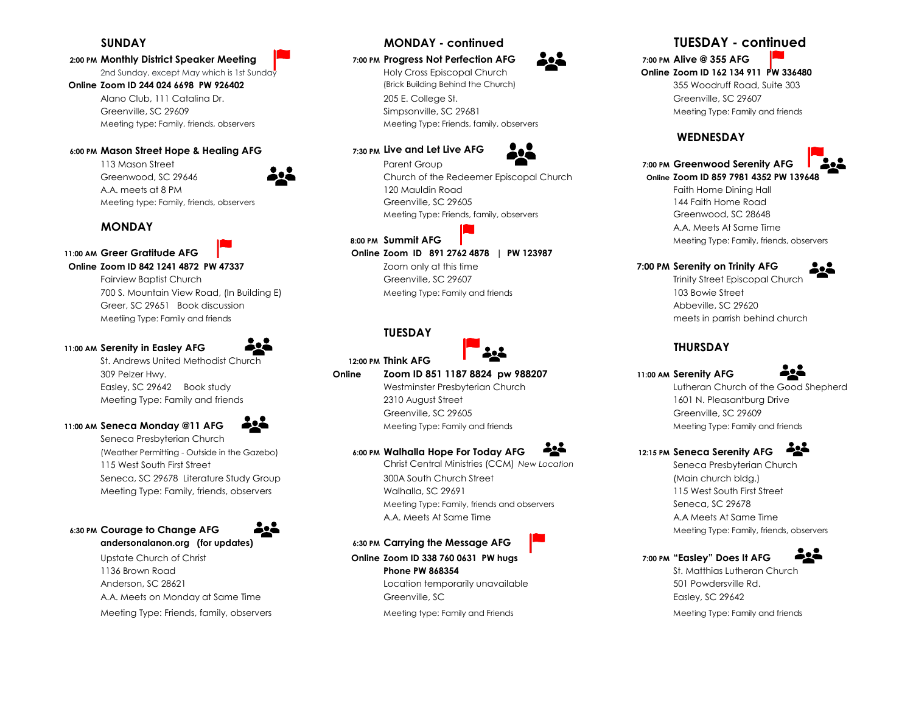### **2:00 PM Monthly District Speaker Meeting 7:00 PM Progress Not Perfection AFG 7:00 PM Alive @ 355 AFG**

Alano Club, 111 Catalina Dr. 205 E. College St. 2055 E. College St. 2056 Creenville, SC 29607 Greenville, SC 29609 Simpsonville, SC 29681 Simpsonville, SC 29681 Meeting Type: Family and friends Meeting type: Family, friends, observers Meeting Type: Friends, family, observers

### **6:00 PM Mason Street Hope & Healing AFG 7:30 PM Live and Let Live AFG**

Fairview Baptist Church Greenville, SC 29607 Trinity Street Episcopal Church 700 S. Mountain View Road, (In Building E) **Meeting Type: Family and friends** 103 Bowie Street 103 Bowie Street Greer, SC 29651 Book discussion and the second state of the second state of the second state of the second state of the second state of the second state of the second state of the second state of the second state of the se Meetiing Type: Family and friends meets in parrish behind church

### **11:00 AM Serenity in Easley AFG THURSDAY**



St. Andrews United Methodist Church **12:00 PM Think AFG** 

### **11:00 AM Seneca Monday @11 AFG**  $\bullet$ <sup>2</sup> Meeting Type: Family and friends Meeting Type: Family and friends Meeting Type: Family and friends

Seneca Presbyterian Church



# 1136 Brown Road **Phone PW 868354** St. Matthias Lutheran Church Anderson, SC 28621 Location temporarily unavailable 501 Powdersville Rd. A.A. Meets on Monday at Same Time **Greenville, SC Came Time Greenville, SC 20042**

Meeting Type: Friends, family, observers excluding the meeting type: Family and Friends Meeting Type: Family and friends Meeting Type: Family and friends







Greenwood, SC 29646 Church of the Redeemer Episcopal Church **Online Zoom ID 859 7981 4352 PW 139648** A.A. meets at 8 PM **120 Mauldin Road** Faith Home Dining Hall **Faith Home Dining Hall** Meeting type: Family, friends, observers examples and the Greenville, SC 29605 144 Faith Home Road 144 Faith Home Road Meeting Type: Friends, family, observers Greenwood, SC 28648

**11:00 AM Greer Gratitude AFG Online Zoom ID 891 2762 4878 | PW 123987** 

**Online Zoom ID 842 1241 4872 PW 47337** *Zoom only at this time* **<b>***Toom only at this firme 7:00 PM Serenity on Trinity AFG* 

### **TUESDAY**



## 309 Pelzer Hwy. **Online Zoom ID 851 1187 8824 pw 988207 11:00 AM Serenity AFG**

Meeting Type: Family and friends The Communication of the 2310 August Street 1601 N. Pleasantburg Drive 1601 N. Pleasantburg Drive Greenville, SC 29605 Greenville, SC 29609

# (Weather Permitting - Outside in the Gazebo) **6:00 PM Walhalla Hope For Today AFG 12:15 PM Seneca Serenity AFG**

115 West South First Street Christ Central Ministries (CCM) *New Location* Seneca Presbyterian Church Seneca, SC 29678 Literature Study Group 300A South Church Street (Main church bldg.) Meeting Type: Family, friends, observers example and the Walhalla, SC 29691 115 West South First Street Street Meeting Type: Family, friends and observers Seneca, SC 29678 A.A. Meets At Same Time A.A. Meets At Same Time

**andersonalanon.org (for updates) 6:30 PM Carrying the Message AFG**  Upstate Church of Christ **Online Zoom ID 338 760 0631 PW hugs 7:00 PM "Easley" Does It AFG** 

# **SUNDAY MONDAY - continued TUESDAY - continued**

# 2nd Sunday, except May which is 1st Sunday Holy Cross Episcopal Church **Online Zoom ID 162 134 911 PW 336480 Online Zoom ID 244 024 6698 PW 926402 Suite 303** (Brick Building Behind the Church) 355 Woodruff Road, Suite 303

## **WEDNESDAY**



# 113 Mason Street Parent Group **7:00 PM Greenwood Serenity AFG**

**MONDAY A.A.** Meets At Same Time **8:00 PM Summit AFG CONTEX CONTEX AFG AND RELATED AT A RELATION Meeting Type: Family, friends, observers** 





Easley, SC 29642 Book study Westminster Presbyterian Church Lutheran Church of the Good Shepherd

# <u> 224 </u>

**6:30 PM Courage to Change AFG**  $\bullet$  $\bullet$